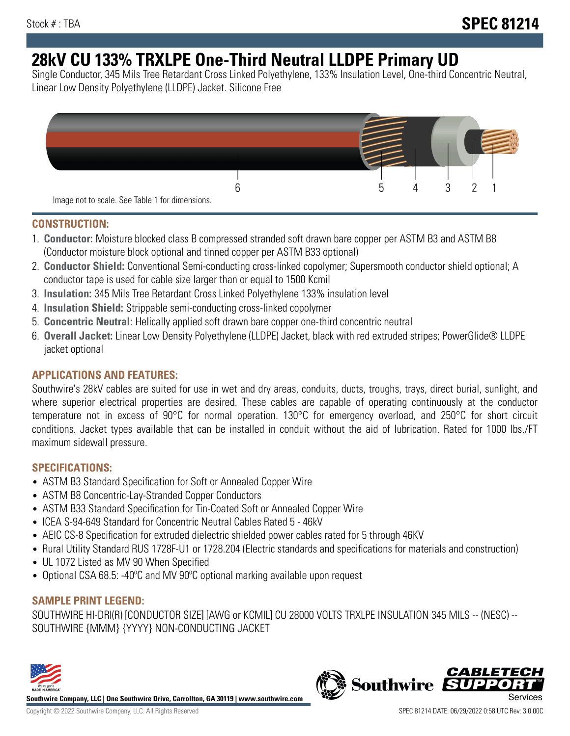# **28kV CU 133% TRXLPE One-Third Neutral LLDPE Primary UD**

Single Conductor, 345 Mils Tree Retardant Cross Linked Polyethylene, 133% Insulation Level, One-third Concentric Neutral, Linear Low Density Polyethylene (LLDPE) Jacket. Silicone Free



### **CONSTRUCTION:**

- 1. **Conductor:** Moisture blocked class B compressed stranded soft drawn bare copper per ASTM B3 and ASTM B8 (Conductor moisture block optional and tinned copper per ASTM B33 optional)
- 2. **Conductor Shield:** Conventional Semi-conducting cross-linked copolymer; Supersmooth conductor shield optional; A conductor tape is used for cable size larger than or equal to 1500 Kcmil
- 3. **Insulation:** 345 Mils Tree Retardant Cross Linked Polyethylene 133% insulation level
- 4. **Insulation Shield:** Strippable semi-conducting cross-linked copolymer
- 5. **Concentric Neutral:** Helically applied soft drawn bare copper one-third concentric neutral
- 6. **Overall Jacket:** Linear Low Density Polyethylene (LLDPE) Jacket, black with red extruded stripes; PowerGlide® LLDPE jacket optional

## **APPLICATIONS AND FEATURES:**

Southwire's 28kV cables are suited for use in wet and dry areas, conduits, ducts, troughs, trays, direct burial, sunlight, and where superior electrical properties are desired. These cables are capable of operating continuously at the conductor temperature not in excess of 90°C for normal operation. 130°C for emergency overload, and 250°C for short circuit conditions. Jacket types available that can be installed in conduit without the aid of lubrication. Rated for 1000 lbs./FT maximum sidewall pressure.

## **SPECIFICATIONS:**

- ASTM B3 Standard Specification for Soft or Annealed Copper Wire
- ASTM B8 Concentric-Lay-Stranded Copper Conductors
- ASTM B33 Standard Specification for Tin-Coated Soft or Annealed Copper Wire
- ICEA S-94-649 Standard for Concentric Neutral Cables Rated 5 46kV
- AEIC CS-8 Specification for extruded dielectric shielded power cables rated for 5 through 46KV
- Rural Utility Standard RUS 1728F-U1 or 1728.204 (Electric standards and specifications for materials and construction)
- UL 1072 Listed as MV 90 When Specified
- Optional CSA 68.5: -40ºC and MV 90ºC optional marking available upon request

# **SAMPLE PRINT LEGEND:**

SOUTHWIRE HI-DRI(R) [CONDUCTOR SIZE] [AWG or KCMIL] CU 28000 VOLTS TRXLPE INSULATION 345 MILS -- (NESC) -- SOUTHWIRE {MMM} {YYYY} NON-CONDUCTING JACKET



**Southwire Company, LLC | One Southwire Drive, Carrollton, GA 30119 | www.southwire.com**